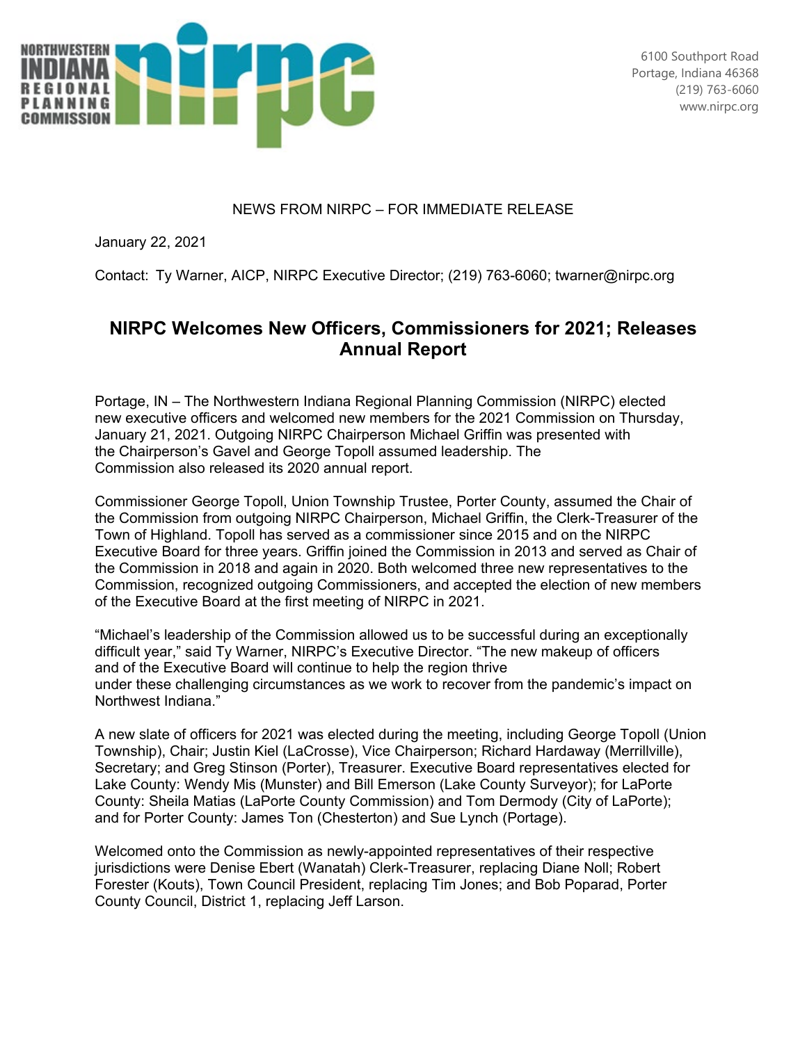

## NEWS FROM NIRPC – FOR IMMEDIATE RELEASE

January 22, 2021

Contact:  Ty Warner, AICP, NIRPC Executive Director; (219) 763-6060; twarner@nirpc.org

## **NIRPC Welcomes New Officers, Commissioners for 2021; Releases Annual Report**

Portage, IN – The Northwestern Indiana Regional Planning Commission (NIRPC) elected new executive officers and welcomed new members for the 2021 Commission on Thursday, January 21, 2021. Outgoing NIRPC Chairperson Michael Griffin was presented with the Chairperson's Gavel and George Topoll assumed leadership. The Commission also released its 2020 annual report.

Commissioner George Topoll, Union Township Trustee, Porter County, assumed the Chair of the Commission from outgoing NIRPC Chairperson, Michael Griffin, the Clerk-Treasurer of the Town of Highland. Topoll has served as a commissioner since 2015 and on the NIRPC Executive Board for three years. Griffin joined the Commission in 2013 and served as Chair of the Commission in 2018 and again in 2020. Both welcomed three new representatives to the Commission, recognized outgoing Commissioners, and accepted the election of new members of the Executive Board at the first meeting of NIRPC in 2021.

"Michael's leadership of the Commission allowed us to be successful during an exceptionally difficult year," said Ty Warner, NIRPC's Executive Director. "The new makeup of officers and of the Executive Board will continue to help the region thrive under these challenging circumstances as we work to recover from the pandemic's impact on Northwest Indiana." 

A new slate of officers for 2021 was elected during the meeting, including George Topoll (Union Township), Chair; Justin Kiel (LaCrosse), Vice Chairperson; Richard Hardaway (Merrillville), Secretary; and Greg Stinson (Porter), Treasurer. Executive Board representatives elected for Lake County: Wendy Mis (Munster) and Bill Emerson (Lake County Surveyor); for LaPorte County: Sheila Matias (LaPorte County Commission) and Tom Dermody (City of LaPorte); and for Porter County: James Ton (Chesterton) and Sue Lynch (Portage).

Welcomed onto the Commission as newly-appointed representatives of their respective jurisdictions were Denise Ebert (Wanatah) Clerk-Treasurer, replacing Diane Noll; Robert Forester (Kouts), Town Council President, replacing Tim Jones; and Bob Poparad, Porter County Council, District 1, replacing Jeff Larson.